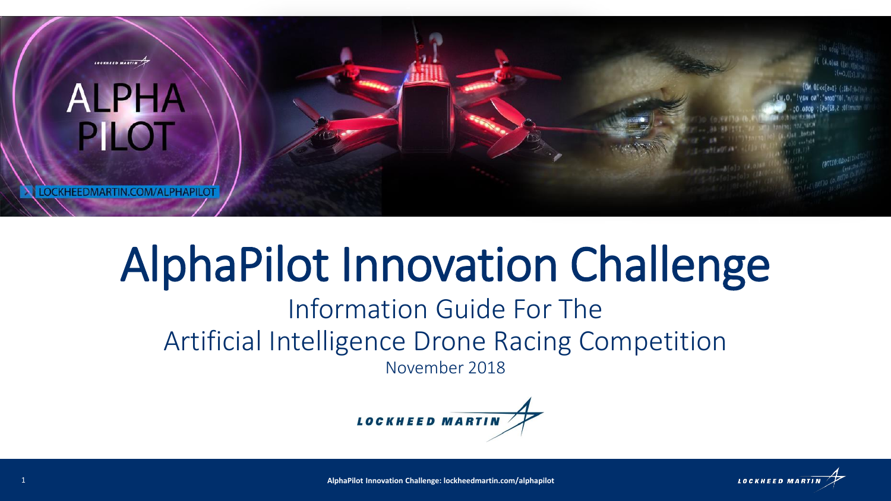

# AlphaPilot Innovation Challenge

# Information Guide For The Artificial Intelligence Drone Racing Competition

November 2018



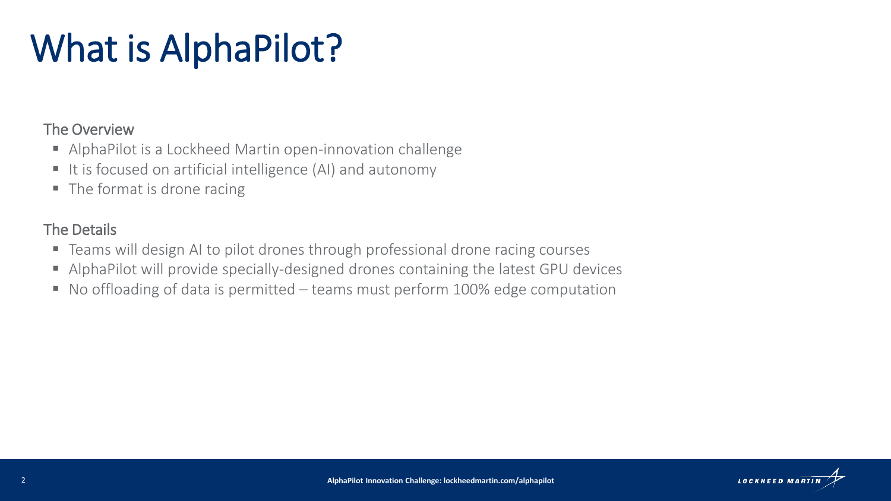# What is AlphaPilot?

### The Overview

- AlphaPilot is a Lockheed Martin open-innovation challenge
- It is focused on artificial intelligence (AI) and autonomy
- $\blacksquare$  The format is drone racing

## The Details

- Teams will design AI to pilot drones through professional drone racing courses
- AlphaPilot will provide specially-designed drones containing the latest GPU devices
- No offloading of data is permitted teams must perform 100% edge computation

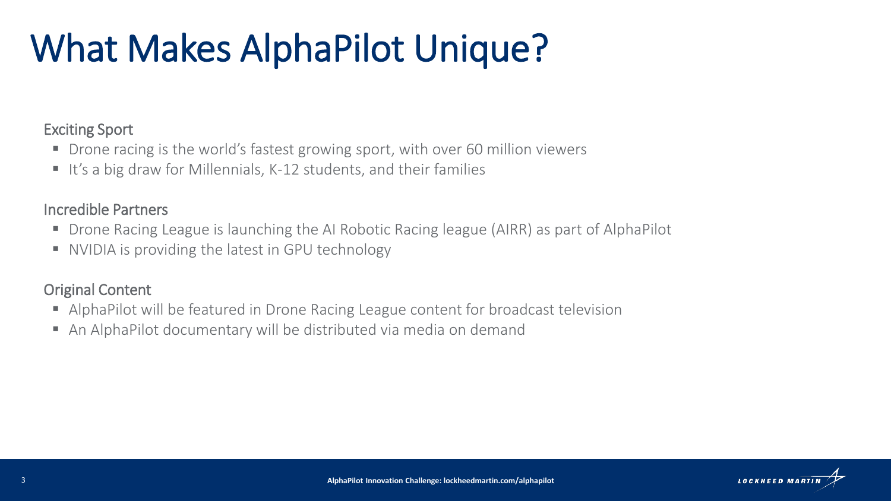# What Makes AlphaPilot Unique?

### Exciting Sport

- Drone racing is the world's fastest growing sport, with over 60 million viewers
- It's a big draw for Millennials, K-12 students, and their families

### Incredible Partners

- Drone Racing League is launching the AI Robotic Racing league (AIRR) as part of AlphaPilot
- NVIDIA is providing the latest in GPU technology

### Original Content

- AlphaPilot will be featured in Drone Racing League content for broadcast television
- An AlphaPilot documentary will be distributed via media on demand

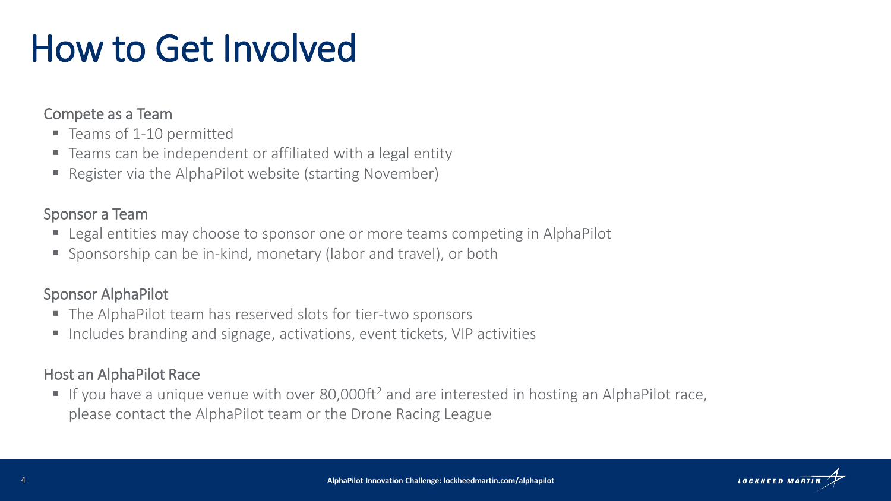# How to Get Involved

### Compete as a Team

- Teams of 1-10 permitted
- Teams can be independent or affiliated with a legal entity
- Register via the AlphaPilot website (starting November)

### Sponsor a Team

- Legal entities may choose to sponsor one or more teams competing in AlphaPilot
- Sponsorship can be in-kind, monetary (labor and travel), or both

### Sponsor AlphaPilot

- The AlphaPilot team has reserved slots for tier-two sponsors
- Includes branding and signage, activations, event tickets, VIP activities

### Host an AlphaPilot Race

■ If you have a unique venue with over 80,000ft<sup>2</sup> and are interested in hosting an AlphaPilot race, please contact the AlphaPilot team or the Drone Racing League

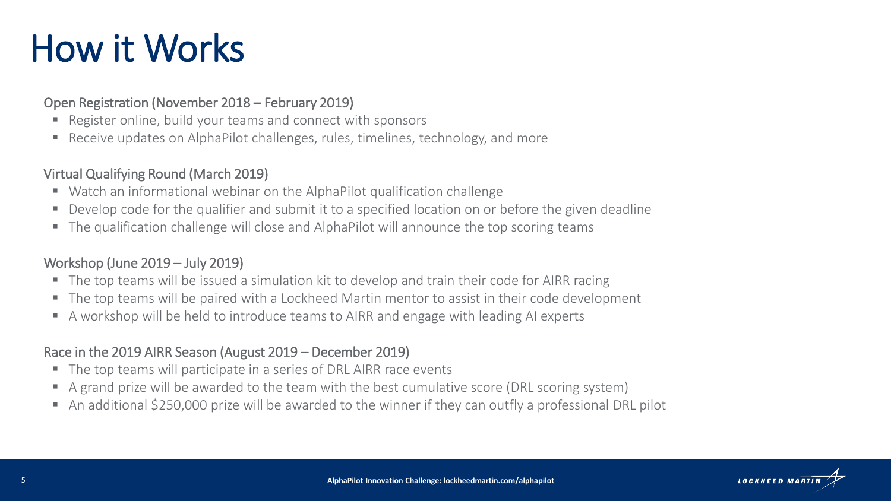# How it Works

#### Open Registration (November 2018 – February 2019)

- Register online, build your teams and connect with sponsors
- Receive updates on AlphaPilot challenges, rules, timelines, technology, and more

#### Virtual Qualifying Round (March 2019)

- Watch an informational webinar on the AlphaPilot qualification challenge
- Develop code for the qualifier and submit it to a specified location on or before the given deadline
- The qualification challenge will close and AlphaPilot will announce the top scoring teams

#### Workshop (June 2019 – July 2019)

- The top teams will be issued a simulation kit to develop and train their code for AIRR racing
- The top teams will be paired with a Lockheed Martin mentor to assist in their code development
- A workshop will be held to introduce teams to AIRR and engage with leading AI experts

#### Race in the 2019 AIRR Season (August 2019 – December 2019)

- The top teams will participate in a series of DRL AIRR race events
- A grand prize will be awarded to the team with the best cumulative score (DRL scoring system)
- An additional \$250,000 prize will be awarded to the winner if they can outfly a professional DRL pilot

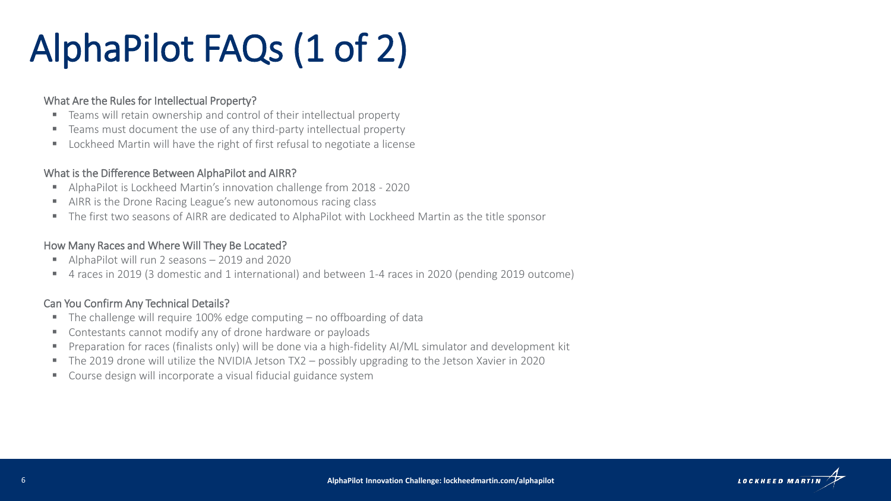# AlphaPilot FAQs (1 of 2)

#### What Are the Rules for Intellectual Property?

- Teams will retain ownership and control of their intellectual property
- Teams must document the use of any third-party intellectual property
- Lockheed Martin will have the right of first refusal to negotiate a license

#### What is the Difference Between AlphaPilot and AIRR?

- AlphaPilot is Lockheed Martin's innovation challenge from 2018 2020
- AIRR is the Drone Racing League's new autonomous racing class
- The first two seasons of AIRR are dedicated to AlphaPilot with Lockheed Martin as the title sponsor

#### How Many Races and Where Will They Be Located?

- AlphaPilot will run 2 seasons 2019 and 2020
- 4 races in 2019 (3 domestic and 1 international) and between 1-4 races in 2020 (pending 2019 outcome)

#### Can You Confirm Any Technical Details?

- $\blacksquare$  The challenge will require 100% edge computing  $-$  no offboarding of data
- Contestants cannot modify any of drone hardware or payloads
- Preparation for races (finalists only) will be done via a high-fidelity AI/ML simulator and development kit
- The 2019 drone will utilize the NVIDIA Jetson TX2 possibly upgrading to the Jetson Xavier in 2020
- Course design will incorporate a visual fiducial guidance system

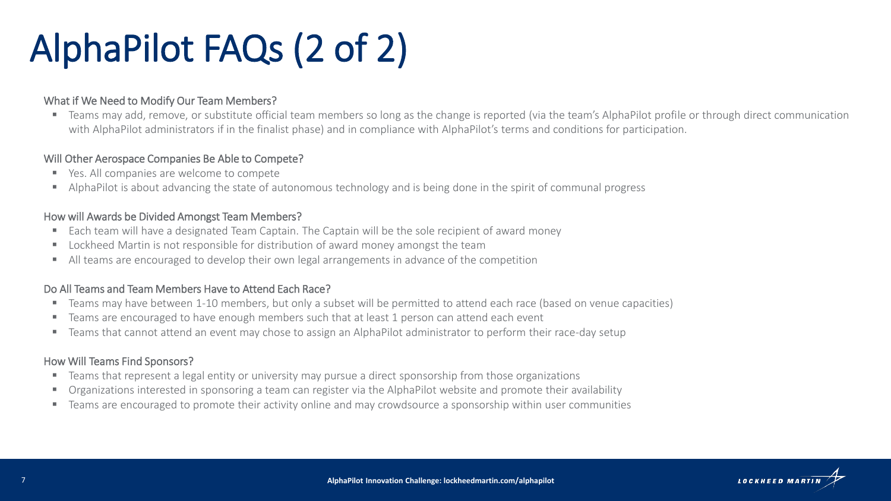# AlphaPilot FAQs (2 of 2)

#### What if We Need to Modify Our Team Members?

■ Teams may add, remove, or substitute official team members so long as the change is reported (via the team's AlphaPilot profile or through direct communication with AlphaPilot administrators if in the finalist phase) and in compliance with AlphaPilot's terms and conditions for participation.

#### Will Other Aerospace Companies Be Able to Compete?

- Yes. All companies are welcome to compete
- AlphaPilot is about advancing the state of autonomous technology and is being done in the spirit of communal progress

#### How will Awards be Divided Amongst Team Members?

- Each team will have a designated Team Captain. The Captain will be the sole recipient of award money
- Lockheed Martin is not responsible for distribution of award money amongst the team
- All teams are encouraged to develop their own legal arrangements in advance of the competition

#### Do All Teams and Team Members Have to Attend Each Race?

- Teams may have between 1-10 members, but only a subset will be permitted to attend each race (based on venue capacities)
- Teams are encouraged to have enough members such that at least 1 person can attend each event
- Teams that cannot attend an event may chose to assign an AlphaPilot administrator to perform their race-day setup

#### How Will Teams Find Sponsors?

- Teams that represent a legal entity or university may pursue a direct sponsorship from those organizations
- Organizations interested in sponsoring a team can register via the AlphaPilot website and promote their availability
- Teams are encouraged to promote their activity online and may crowdsource a sponsorship within user communities

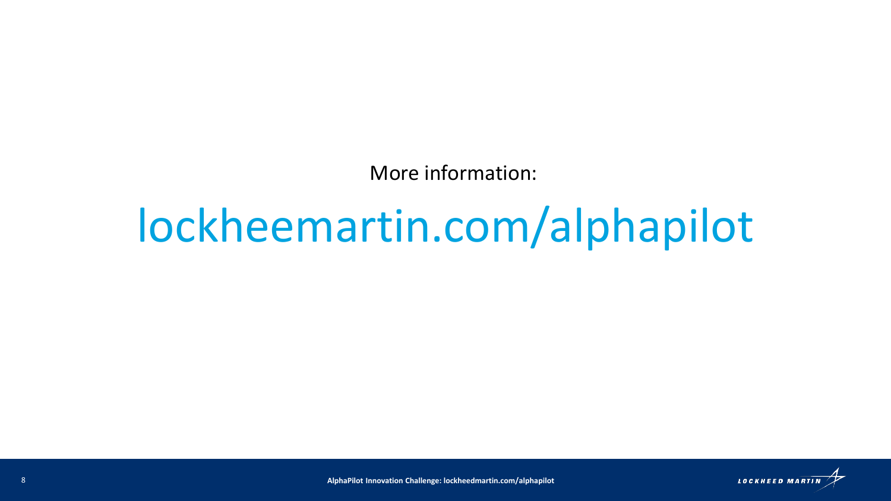More information:

# lockheemartin.com/alphapilot